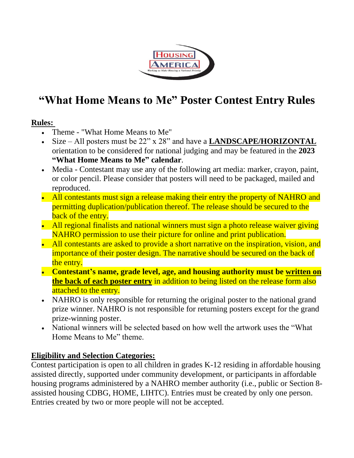

## **"What Home Means to Me" Poster Contest Entry Rules**

## **Rules:**

- Theme "What Home Means to Me"
- Size All posters must be 22" x 28" and have a **LANDSCAPE/HORIZONTAL** orientation to be considered for national judging and may be featured in the **2023 "What Home Means to Me" calendar**.
- Media Contestant may use any of the following art media: marker, crayon, paint, or color pencil. Please consider that posters will need to be packaged, mailed and reproduced.
- All contestants must sign a release making their entry the property of NAHRO and permitting duplication/publication thereof. The release should be secured to the back of the entry.
- All regional finalists and national winners must sign a photo release waiver giving NAHRO permission to use their picture for online and print publication.
- All contestants are asked to provide a short narrative on the inspiration, vision, and importance of their poster design. The narrative should be secured on the back of the entry.
- **Contestant's name, grade level, age, and housing authority must be written on the back of each poster entry** in addition to being listed on the release form also attached to the entry.
- NAHRO is only responsible for returning the original poster to the national grand prize winner. NAHRO is not responsible for returning posters except for the grand prize-winning poster.
- National winners will be selected based on how well the artwork uses the "What" Home Means to Me" theme.

## **Eligibility and Selection Categories:**

Contest participation is open to all children in grades K-12 residing in affordable housing assisted directly, supported under community development, or participants in affordable housing programs administered by a NAHRO member authority (i.e., public or Section 8 assisted housing CDBG, HOME, LIHTC). Entries must be created by only one person. Entries created by two or more people will not be accepted.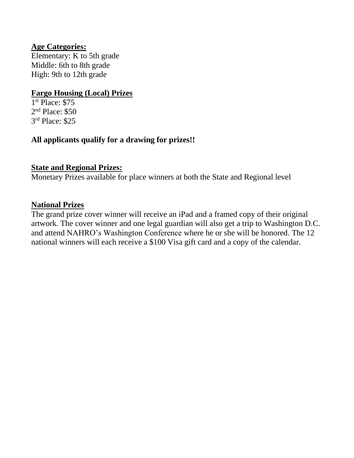## **Age Categories:**

Elementary: K to 5th grade Middle: 6th to 8th grade High: 9th to 12th grade

## **Fargo Housing (Local) Prizes**

1 st Place: \$75 2<sup>nd</sup> Place: \$50 3 rd Place: \$25

## **All applicants qualify for a drawing for prizes!!**

## **State and Regional Prizes:**

Monetary Prizes available for place winners at both the State and Regional level

## **National Prizes**

The grand prize cover winner will receive an iPad and a framed copy of their original artwork. The cover winner and one legal guardian will also get a trip to Washington D.C. and attend NAHRO's Washington Conference where he or she will be honored. The 12 national winners will each receive a \$100 Visa gift card and a copy of the calendar.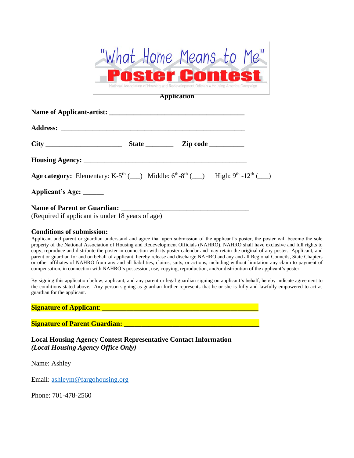

#### **Application**

| <b>Age category:</b> Elementary: K-5 <sup>th</sup> ( ) Middle: $6^{th}$ -8 <sup>th</sup> ( ) High: $9^{th}$ -12 <sup>th</sup> ( ) |  |  |
|-----------------------------------------------------------------------------------------------------------------------------------|--|--|
| Applicant's Age: ______                                                                                                           |  |  |
|                                                                                                                                   |  |  |

(Required if applicant is under 18 years of age)

#### **Conditions of submission:**

Applicant and parent or guardian understand and agree that upon submission of the applicant's poster, the poster will become the sole property of the National Association of Housing and Redevelopment Officials (NAHRO). NAHRO shall have exclusive and full rights to copy, reproduce and distribute the poster in connection with its poster calendar and may retain the original of any poster. Applicant, and parent or guardian for and on behalf of applicant, hereby release and discharge NAHRO and any and all Regional Councils, State Chapters or other affiliates of NAHRO from any and all liabilities, claims, suits, or actions, including without limitation any claim to payment of compensation, in connection with NAHRO's possession, use, copying, reproduction, and/or distribution of the applicant's poster.

By signing this application below, applicant, and any parent or legal guardian signing on applicant's behalf, hereby indicate agreement to the conditions stated above. Any person signing as guardian further represents that he or she is fully and lawfully empowered to act as guardian for the applicant.

#### **Signature of Applicant:**

**Signature of Parent Guardian: Signature of Parent Guardian:** 

**Local Housing Agency Contest Representative Contact Information**  *(Local Housing Agency Office Only)*

Name: Ashley

Email: [ashleym@fargohousing.org](mailto:ashleym@fargohousing.org)

Phone: 701-478-2560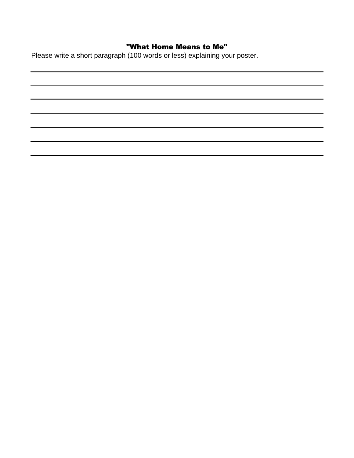## "What Home Means to Me"

Please write a short paragraph (100 words or less) explaining your poster.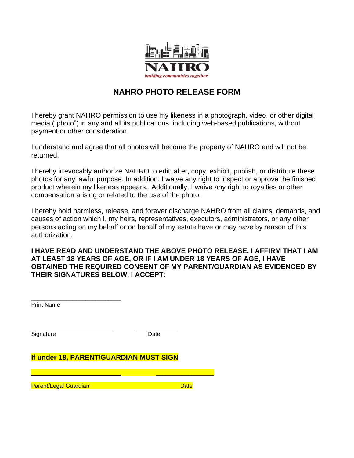

## **NAHRO PHOTO RELEASE FORM**

I hereby grant NAHRO permission to use my likeness in a photograph, video, or other digital media ("photo") in any and all its publications, including web-based publications, without payment or other consideration.

I understand and agree that all photos will become the property of NAHRO and will not be returned.

I hereby irrevocably authorize NAHRO to edit, alter, copy, exhibit, publish, or distribute these photos for any lawful purpose. In addition, I waive any right to inspect or approve the finished product wherein my likeness appears. Additionally, I waive any right to royalties or other compensation arising or related to the use of the photo.

I hereby hold harmless, release, and forever discharge NAHRO from all claims, demands, and causes of action which I, my heirs, representatives, executors, administrators, or any other persons acting on my behalf or on behalf of my estate have or may have by reason of this authorization.

**I HAVE READ AND UNDERSTAND THE ABOVE PHOTO RELEASE. I AFFIRM THAT I AM AT LEAST 18 YEARS OF AGE, OR IF I AM UNDER 18 YEARS OF AGE, I HAVE OBTAINED THE REQUIRED CONSENT OF MY PARENT/GUARDIAN AS EVIDENCED BY THEIR SIGNATURES BELOW. I ACCEPT:**

\_\_\_\_\_\_\_\_\_\_\_\_\_\_\_\_\_\_\_\_\_\_\_\_\_\_\_\_ Print Name

Signature Date

\_\_\_\_\_\_\_\_\_\_\_\_\_\_\_\_\_\_

### **If under 18, PARENT/GUARDIAN MUST SIGN**

Parent/Legal Guardian Date Controller Controller Date